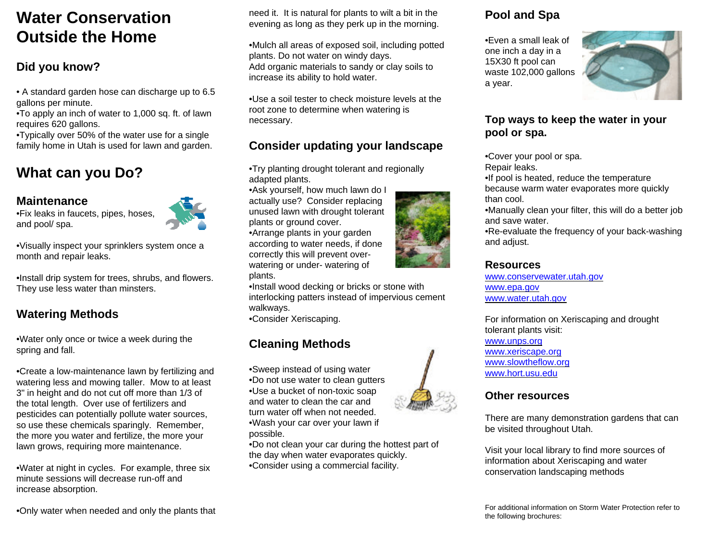## **Water ConservationOutside the Home**

### **Did you know?**

• A standard garden hose can discharge up to 6.5 gallons per minute.

•To apply an inch of water to 1,000 sq. ft. of lawn requires 620 gallons.

•Typically over 50% of the water use for a single family home in Utah is used for lawn and garden.

## **What can you Do?**

#### **Maintenance**

•Fix leaks in faucets, pipes, hoses, and pool/ spa.



•Visually inspect your sprinklers system once a month and repair leaks.

•Install drip system for trees, shrubs, and flowers. They use less water than minsters.

### **Watering Methods**

•Water only once or twice a week during the spring and fall.

•Create a low-maintenance lawn by fertilizing and watering less and mowing taller. Mow to at least 3" in height and do not cut off more than 1/3 of the total length. Over use of fertilizers and pesticides can potentially pollute water sources, so use these chemicals sparingly. Remember, the more you water and fertilize, the more your lawn grows, requiring more maintenance.

•Water at night in cycles. For example, three six minute sessions will decrease run-off andincrease absorption.

•Only water when needed and only the plants that

need it. It is natural for plants to wilt a bit in the evening as long as they perk up in the morning.

•Mulch all areas of exposed soil, including potted plants. Do not water on windy days. Add organic materials to sandy or clay soils to increase its ability to hold water.

•Use a soil tester to check moisture levels at theroot zone to determine when watering is necessary.

## **Consider updating your landscape**

•Try planting drought tolerant and regionally adapted plants.

•Ask yourself, how much lawn do I actually use? Consider replacing unused lawn with drought tolerant plants or ground cover. •Arrange plants in your garden according to water needs, if done correctly this will prevent overwatering or under- watering of

plants.

•Install wood decking or bricks or stone with interlocking patters instead of impervious cement walkways.

•Consider Xeriscaping.

## **Cleaning Methods**

•Sweep instead of using water •Do not use water to clean gutters •Use a bucket of non-toxic soap and water to clean the car andturn water off when not needed.•Wash your car over your lawn if possible.

•Do not clean your car during the hottest part of the day when water evaporates quickly. •Consider using a commercial facility.



•Even a small leak ofone inch a day in a 15X30 ft pool can waste 102,000 gallons a year.



#### **Top ways to keep the water in your pool or spa.**

•Cover your pool or spa.

Repair leaks.

•If pool is heated, reduce the temperature because warm water evaporates more quickly than cool.

•Manually clean your filter, this will do a better job and save water.

•Re-evaluate the frequency of your back-washing and adjust.

#### **Resources**

www.conservewater.utah.gov www.epa.gov www.water.utah.gov

For information on Xeriscaping and drought tolerant plants visit: www.unps.org www.xeriscape.org www.slowtheflow.org

www.hort.usu.edu

#### **Other resources**

There are many demonstration gardens that can be visited throughout Utah.

Visit your local library to find more sources of information about Xeriscaping and water conservation landscaping methods

For additional information on Storm Water Protection refer tothe following brochures: